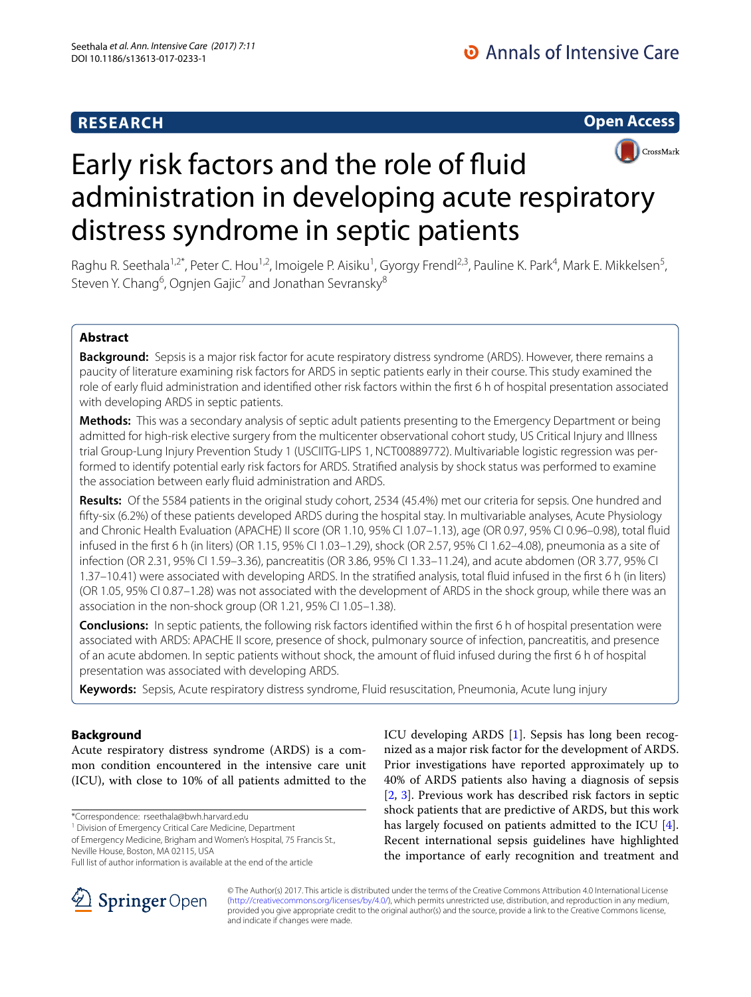# **RESEARCH**

**Open Access**



# Early risk factors and the role of fluid administration in developing acute respiratory distress syndrome in septic patients

Raghu R. Seethala<sup>1,2\*</sup>, Peter C. Hou<sup>1,2</sup>, Imoigele P. Aisiku<sup>1</sup>, Gyorgy Frendl<sup>2,3</sup>, Pauline K. Park<sup>4</sup>, Mark E. Mikkelsen<sup>5</sup>, Steven Y. Chang<sup>6</sup>, Ognjen Gajic<sup>7</sup> and Jonathan Sevransky<sup>8</sup>

# **Abstract**

**Background:** Sepsis is a major risk factor for acute respiratory distress syndrome (ARDS). However, there remains a paucity of literature examining risk factors for ARDS in septic patients early in their course. This study examined the role of early fluid administration and identified other risk factors within the first 6 h of hospital presentation associated with developing ARDS in septic patients.

**Methods:** This was a secondary analysis of septic adult patients presenting to the Emergency Department or being admitted for high-risk elective surgery from the multicenter observational cohort study, US Critical Injury and Illness trial Group-Lung Injury Prevention Study 1 (USCIITG-LIPS 1, NCT00889772). Multivariable logistic regression was performed to identify potential early risk factors for ARDS. Stratified analysis by shock status was performed to examine the association between early fluid administration and ARDS.

**Results:** Of the 5584 patients in the original study cohort, 2534 (45.4%) met our criteria for sepsis. One hundred and fifty-six (6.2%) of these patients developed ARDS during the hospital stay. In multivariable analyses, Acute Physiology and Chronic Health Evaluation (APACHE) II score (OR 1.10, 95% CI 1.07–1.13), age (OR 0.97, 95% CI 0.96–0.98), total fluid infused in the first 6 h (in liters) (OR 1.15, 95% CI 1.03–1.29), shock (OR 2.57, 95% CI 1.62–4.08), pneumonia as a site of infection (OR 2.31, 95% CI 1.59–3.36), pancreatitis (OR 3.86, 95% CI 1.33–11.24), and acute abdomen (OR 3.77, 95% CI 1.37–10.41) were associated with developing ARDS. In the stratified analysis, total fluid infused in the first 6 h (in liters) (OR 1.05, 95% CI 0.87–1.28) was not associated with the development of ARDS in the shock group, while there was an association in the non-shock group (OR 1.21, 95% CI 1.05–1.38).

**Conclusions:** In septic patients, the following risk factors identified within the first 6 h of hospital presentation were associated with ARDS: APACHE II score, presence of shock, pulmonary source of infection, pancreatitis, and presence of an acute abdomen. In septic patients without shock, the amount of fluid infused during the first 6 h of hospital presentation was associated with developing ARDS.

**Keywords:** Sepsis, Acute respiratory distress syndrome, Fluid resuscitation, Pneumonia, Acute lung injury

# **Background**

Acute respiratory distress syndrome (ARDS) is a common condition encountered in the intensive care unit (ICU), with close to 10% of all patients admitted to the

\*Correspondence: rseethala@bwh.harvard.edu

<sup>1</sup> Division of Emergency Critical Care Medicine, Department

of Emergency Medicine, Brigham and Women's Hospital, 75 Francis St.,

Neville House, Boston, MA 02115, USA





© The Author(s) 2017. This article is distributed under the terms of the Creative Commons Attribution 4.0 International License [\(http://creativecommons.org/licenses/by/4.0/\)](http://creativecommons.org/licenses/by/4.0/), which permits unrestricted use, distribution, and reproduction in any medium, provided you give appropriate credit to the original author(s) and the source, provide a link to the Creative Commons license, and indicate if changes were made.

Full list of author information is available at the end of the article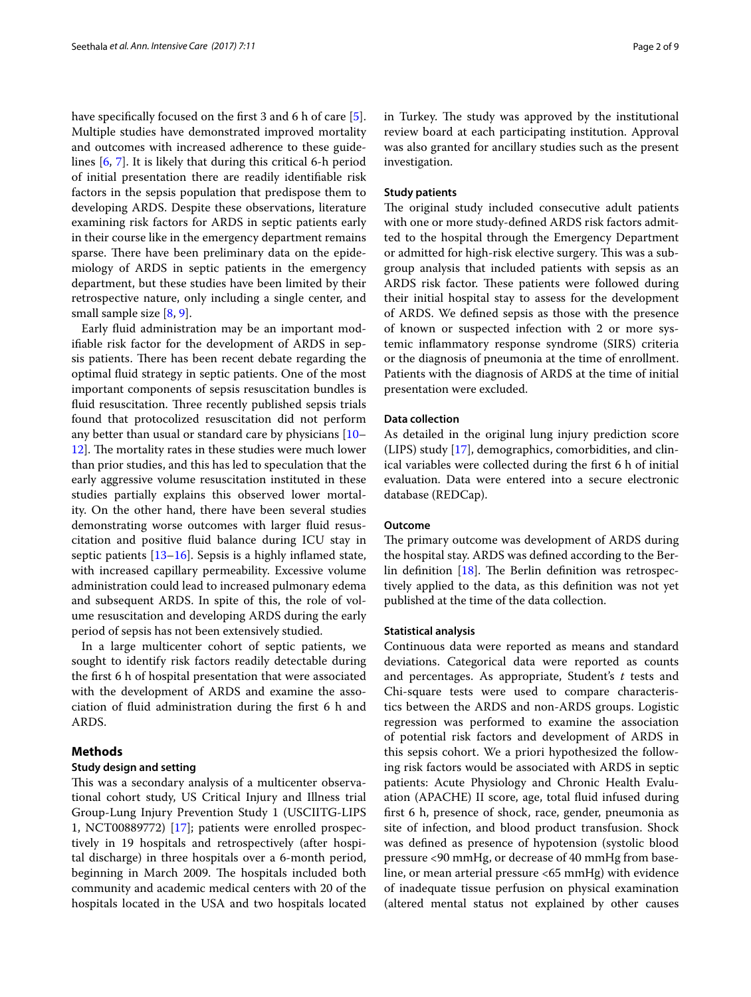have specifically focused on the first 3 and 6 h of care [\[5](#page-7-4)]. Multiple studies have demonstrated improved mortality and outcomes with increased adherence to these guidelines [[6,](#page-7-5) [7\]](#page-7-6). It is likely that during this critical 6-h period of initial presentation there are readily identifiable risk factors in the sepsis population that predispose them to developing ARDS. Despite these observations, literature examining risk factors for ARDS in septic patients early in their course like in the emergency department remains sparse. There have been preliminary data on the epidemiology of ARDS in septic patients in the emergency department, but these studies have been limited by their retrospective nature, only including a single center, and small sample size [\[8](#page-7-7), [9\]](#page-7-8).

Early fluid administration may be an important modifiable risk factor for the development of ARDS in sepsis patients. There has been recent debate regarding the optimal fluid strategy in septic patients. One of the most important components of sepsis resuscitation bundles is fluid resuscitation. Three recently published sepsis trials found that protocolized resuscitation did not perform any better than usual or standard care by physicians [[10–](#page-7-9) [12\]](#page-7-10). The mortality rates in these studies were much lower than prior studies, and this has led to speculation that the early aggressive volume resuscitation instituted in these studies partially explains this observed lower mortality. On the other hand, there have been several studies demonstrating worse outcomes with larger fluid resuscitation and positive fluid balance during ICU stay in septic patients [\[13](#page-7-11)[–16](#page-7-12)]. Sepsis is a highly inflamed state, with increased capillary permeability. Excessive volume administration could lead to increased pulmonary edema and subsequent ARDS. In spite of this, the role of volume resuscitation and developing ARDS during the early period of sepsis has not been extensively studied.

In a large multicenter cohort of septic patients, we sought to identify risk factors readily detectable during the first 6 h of hospital presentation that were associated with the development of ARDS and examine the association of fluid administration during the first 6 h and ARDS.

#### **Methods**

## **Study design and setting**

This was a secondary analysis of a multicenter observational cohort study, US Critical Injury and Illness trial Group-Lung Injury Prevention Study 1 (USCIITG-LIPS 1, NCT00889772) [\[17](#page-7-13)]; patients were enrolled prospectively in 19 hospitals and retrospectively (after hospital discharge) in three hospitals over a 6-month period, beginning in March 2009. The hospitals included both community and academic medical centers with 20 of the hospitals located in the USA and two hospitals located in Turkey. The study was approved by the institutional review board at each participating institution. Approval was also granted for ancillary studies such as the present investigation.

#### **Study patients**

The original study included consecutive adult patients with one or more study-defined ARDS risk factors admitted to the hospital through the Emergency Department or admitted for high-risk elective surgery. This was a subgroup analysis that included patients with sepsis as an ARDS risk factor. These patients were followed during their initial hospital stay to assess for the development of ARDS. We defined sepsis as those with the presence of known or suspected infection with 2 or more systemic inflammatory response syndrome (SIRS) criteria or the diagnosis of pneumonia at the time of enrollment. Patients with the diagnosis of ARDS at the time of initial presentation were excluded.

#### **Data collection**

As detailed in the original lung injury prediction score (LIPS) study [[17\]](#page-7-13), demographics, comorbidities, and clinical variables were collected during the first 6 h of initial evaluation. Data were entered into a secure electronic database (REDCap).

#### **Outcome**

The primary outcome was development of ARDS during the hospital stay. ARDS was defined according to the Berlin definition [\[18\]](#page-7-14). The Berlin definition was retrospectively applied to the data, as this definition was not yet published at the time of the data collection.

#### **Statistical analysis**

Continuous data were reported as means and standard deviations. Categorical data were reported as counts and percentages. As appropriate, Student's *t* tests and Chi-square tests were used to compare characteristics between the ARDS and non-ARDS groups. Logistic regression was performed to examine the association of potential risk factors and development of ARDS in this sepsis cohort. We a priori hypothesized the following risk factors would be associated with ARDS in septic patients: Acute Physiology and Chronic Health Evaluation (APACHE) II score, age, total fluid infused during first 6 h, presence of shock, race, gender, pneumonia as site of infection, and blood product transfusion. Shock was defined as presence of hypotension (systolic blood pressure <90 mmHg, or decrease of 40 mmHg from baseline, or mean arterial pressure <65 mmHg) with evidence of inadequate tissue perfusion on physical examination (altered mental status not explained by other causes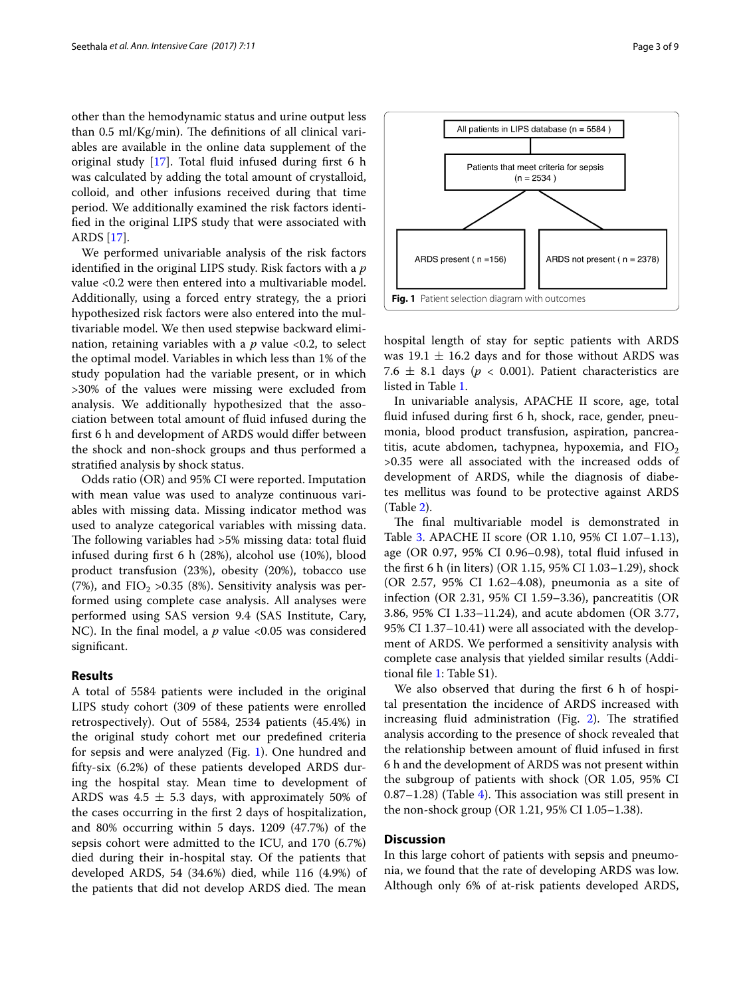other than the hemodynamic status and urine output less than 0.5 ml/Kg/min). The definitions of all clinical variables are available in the online data supplement of the original study [[17\]](#page-7-13). Total fluid infused during first 6 h was calculated by adding the total amount of crystalloid, colloid, and other infusions received during that time period. We additionally examined the risk factors identified in the original LIPS study that were associated with ARDS [[17](#page-7-13)].

We performed univariable analysis of the risk factors identified in the original LIPS study. Risk factors with a *p* value <0.2 were then entered into a multivariable model. Additionally, using a forced entry strategy, the a priori hypothesized risk factors were also entered into the multivariable model. We then used stepwise backward elimination, retaining variables with a  $p$  value <0.2, to select the optimal model. Variables in which less than 1% of the study population had the variable present, or in which >30% of the values were missing were excluded from analysis. We additionally hypothesized that the association between total amount of fluid infused during the first 6 h and development of ARDS would differ between the shock and non-shock groups and thus performed a stratified analysis by shock status.

Odds ratio (OR) and 95% CI were reported. Imputation with mean value was used to analyze continuous variables with missing data. Missing indicator method was used to analyze categorical variables with missing data. The following variables had >5% missing data: total fluid infused during first 6 h (28%), alcohol use (10%), blood product transfusion (23%), obesity (20%), tobacco use (7%), and FIO<sub>2</sub> > 0.35 (8%). Sensitivity analysis was performed using complete case analysis. All analyses were performed using SAS version 9.4 (SAS Institute, Cary, NC). In the final model, a *p* value <0.05 was considered significant.

#### **Results**

A total of 5584 patients were included in the original LIPS study cohort (309 of these patients were enrolled retrospectively). Out of 5584, 2534 patients (45.4%) in the original study cohort met our predefined criteria for sepsis and were analyzed (Fig. [1\)](#page-2-0). One hundred and fifty-six (6.2%) of these patients developed ARDS during the hospital stay. Mean time to development of ARDS was  $4.5 \pm 5.3$  days, with approximately 50% of the cases occurring in the first 2 days of hospitalization, and 80% occurring within 5 days. 1209 (47.7%) of the sepsis cohort were admitted to the ICU, and 170 (6.7%) died during their in-hospital stay. Of the patients that developed ARDS, 54 (34.6%) died, while 116 (4.9%) of the patients that did not develop ARDS died. The mean



<span id="page-2-0"></span>hospital length of stay for septic patients with ARDS was 19.1  $\pm$  16.2 days and for those without ARDS was 7.6  $\pm$  8.1 days ( $p < 0.001$ ). Patient characteristics are listed in Table [1.](#page-3-0)

In univariable analysis, APACHE II score, age, total fluid infused during first 6 h, shock, race, gender, pneumonia, blood product transfusion, aspiration, pancreatitis, acute abdomen, tachypnea, hypoxemia, and  $FIO<sub>2</sub>$ >0.35 were all associated with the increased odds of development of ARDS, while the diagnosis of diabetes mellitus was found to be protective against ARDS (Table [2\)](#page-4-0).

The final multivariable model is demonstrated in Table [3](#page-4-1). APACHE II score (OR 1.10, 95% CI 1.07–1.13), age (OR 0.97, 95% CI 0.96–0.98), total fluid infused in the first 6 h (in liters) (OR 1.15, 95% CI 1.03–1.29), shock (OR 2.57, 95% CI 1.62–4.08), pneumonia as a site of infection (OR 2.31, 95% CI 1.59–3.36), pancreatitis (OR 3.86, 95% CI 1.33–11.24), and acute abdomen (OR 3.77, 95% CI 1.37–10.41) were all associated with the development of ARDS. We performed a sensitivity analysis with complete case analysis that yielded similar results (Additional file [1](#page-6-0): Table S1).

We also observed that during the first 6 h of hospital presentation the incidence of ARDS increased with increasing fluid administration (Fig. [2\)](#page-4-2). The stratified analysis according to the presence of shock revealed that the relationship between amount of fluid infused in first 6 h and the development of ARDS was not present within the subgroup of patients with shock (OR 1.05, 95% CI 0.87–1.28) (Table [4](#page-4-3)). This association was still present in the non-shock group (OR 1.21, 95% CI 1.05–1.38).

#### **Discussion**

In this large cohort of patients with sepsis and pneumonia, we found that the rate of developing ARDS was low. Although only 6% of at-risk patients developed ARDS,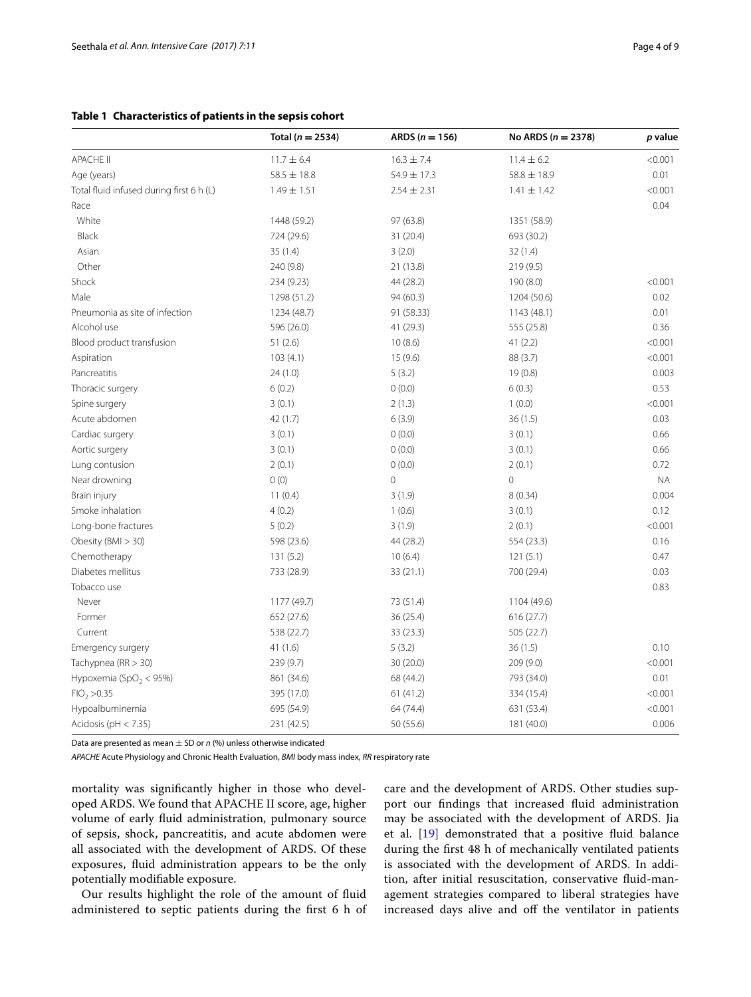#### <span id="page-3-0"></span>**Table 1 Characteristics of patients in the sepsis cohort**

|                                          | Total ( $n = 2534$ ) | ARDS ( $n = 156$ ) | No ARDS ( $n = 2378$ ) | p value   |
|------------------------------------------|----------------------|--------------------|------------------------|-----------|
| <b>APACHE II</b>                         | $11.7 \pm 6.4$       | $16.3 \pm 7.4$     | $11.4 \pm 6.2$         | < 0.001   |
| Age (years)                              | $58.5 \pm 18.8$      | $54.9 \pm 17.3$    | $58.8 \pm 18.9$        | 0.01      |
| Total fluid infused during first 6 h (L) | $1.49 \pm 1.51$      | $2.54 \pm 2.31$    | $1.41 \pm 1.42$        | < 0.001   |
| Race                                     |                      |                    |                        | 0.04      |
| White                                    | 1448 (59.2)          | 97 (63.8)          | 1351 (58.9)            |           |
| Black                                    | 724 (29.6)           | 31 (20.4)          | 693 (30.2)             |           |
| Asian                                    | 35(1.4)              | 3(2.0)             | 32(1.4)                |           |
| Other                                    | 240 (9.8)            | 21 (13.8)          | 219 (9.5)              |           |
| Shock                                    | 234 (9.23)           | 44 (28.2)          | 190 (8.0)              | < 0.001   |
| Male                                     | 1298 (51.2)          | 94 (60.3)          | 1204 (50.6)            | 0.02      |
| Pneumonia as site of infection           | 1234 (48.7)          | 91 (58.33)         | 1143 (48.1)            | 0.01      |
| Alcohol use                              | 596 (26.0)           | 41 (29.3)          | 555 (25.8)             | 0.36      |
| Blood product transfusion                | 51(2.6)              | 10(8.6)            | 41(2.2)                | < 0.001   |
| Aspiration                               | 103(4.1)             | 15 (9.6)           | 88 (3.7)               | < 0.001   |
| Pancreatitis                             | 24(1.0)              | 5(3.2)             | 19(0.8)                | 0.003     |
| Thoracic surgery                         | 6(0.2)               | 0(0.0)             | 6(0.3)                 | 0.53      |
| Spine surgery                            | 3(0.1)               | 2(1.3)             | 1(0.0)                 | < 0.001   |
| Acute abdomen                            | 42 (1.7)             | 6(3.9)             | 36(1.5)                | 0.03      |
| Cardiac surgery                          | 3(0.1)               | 0(0.0)             | 3(0.1)                 | 0.66      |
| Aortic surgery                           | 3(0.1)               | 0(0.0)             | 3(0.1)                 | 0.66      |
| Lung contusion                           | 2(0.1)               | 0(0.0)             | 2(0.1)                 | 0.72      |
| Near drowning                            | 0(0)                 | 0                  | 0                      | <b>NA</b> |
| Brain injury                             | 11(0.4)              | 3(1.9)             | 8(0.34)                | 0.004     |
| Smoke inhalation                         | 4(0.2)               | 1(0.6)             | 3(0.1)                 | 0.12      |
| Long-bone fractures                      | 5(0.2)               | 3(1.9)             | 2(0.1)                 | < 0.001   |
| Obesity (BMI > 30)                       | 598 (23.6)           | 44 (28.2)          | 554 (23.3)             | 0.16      |
| Chemotherapy                             | 131(5.2)             | 10(6.4)            | 121(5.1)               | 0.47      |
| Diabetes mellitus                        | 733 (28.9)           | 33 (21.1)          | 700 (29.4)             | 0.03      |
| Tobacco use                              |                      |                    |                        | 0.83      |
| Never                                    | 1177 (49.7)          | 73 (51.4)          | 1104 (49.6)            |           |
| Former                                   | 652 (27.6)           | 36 (25.4)          | 616 (27.7)             |           |
| Current                                  | 538 (22.7)           | 33 (23.3)          | 505 (22.7)             |           |
| Emergency surgery                        | 41(1.6)              | 5(3.2)             | 36(1.5)                | 0.10      |
| Tachypnea (RR > 30)                      | 239 (9.7)            | 30 (20.0)          | 209 (9.0)              | < 0.001   |
| Hypoxemia (SpO <sub>2</sub> < 95%)       | 861 (34.6)           | 68 (44.2)          | 793 (34.0)             | 0.01      |
| FIO <sub>2</sub> > 0.35                  | 395 (17.0)           | 61(41.2)           | 334 (15.4)             | < 0.001   |
| Hypoalbuminemia                          | 695 (54.9)           | 64 (74.4)          | 631 (53.4)             | < 0.001   |
| Acidosis ( $pH < 7.35$ )                 | 231 (42.5)           | 50 (55.6)          | 181 (40.0)             | 0.006     |

Data are presented as mean ± SD or *n* (%) unless otherwise indicated

*APACHE* Acute Physiology and Chronic Health Evaluation, *BMI* body mass index, *RR* respiratory rate

mortality was significantly higher in those who developed ARDS. We found that APACHE II score, age, higher volume of early fluid administration, pulmonary source of sepsis, shock, pancreatitis, and acute abdomen were all associated with the development of ARDS. Of these exposures, fluid administration appears to be the only potentially modifiable exposure.

Our results highlight the role of the amount of fluid administered to septic patients during the first 6 h of care and the development of ARDS. Other studies support our findings that increased fluid administration may be associated with the development of ARDS. Jia et al. [\[19](#page-8-0)] demonstrated that a positive fluid balance during the first 48 h of mechanically ventilated patients is associated with the development of ARDS. In addition, after initial resuscitation, conservative fluid-management strategies compared to liberal strategies have increased days alive and off the ventilator in patients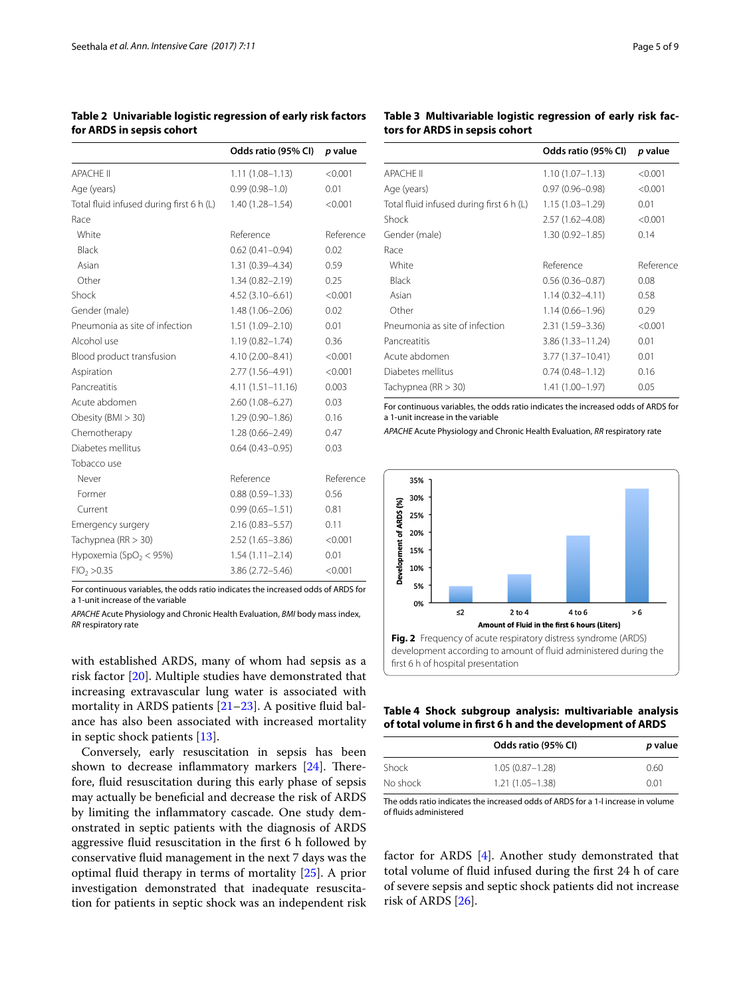| Odds ratio (95% CI)  | p value   |
|----------------------|-----------|
| $1.11(1.08 - 1.13)$  | < 0.001   |
| $0.99(0.98 - 1.0)$   | 0.01      |
| $1.40(1.28 - 1.54)$  | < 0.001   |
|                      |           |
| Reference            | Reference |
| $0.62(0.41 - 0.94)$  | 0.02      |
| 1.31 (0.39-4.34)     | 0.59      |
| $1.34(0.82 - 2.19)$  | 0.25      |
| $4.52(3.10 - 6.61)$  | < 0.001   |
| $1.48(1.06 - 2.06)$  | 0.02      |
| $1.51(1.09 - 2.10)$  | 0.01      |
| $1.19(0.82 - 1.74)$  | 0.36      |
| 4.10 (2.00-8.41)     | < 0.001   |
| 2.77 (1.56-4.91)     | < 0.001   |
| $4.11(1.51 - 11.16)$ | 0.003     |
| 2.60 (1.08-6.27)     | 0.03      |
| $1.29(0.90 - 1.86)$  | 0.16      |
| $1.28(0.66 - 2.49)$  | 0.47      |
| $0.64(0.43 - 0.95)$  | 0.03      |
|                      |           |
| Reference            | Reference |
| $0.88(0.59 - 1.33)$  | 0.56      |
| $0.99(0.65 - 1.51)$  | 0.81      |
| $2.16(0.83 - 5.57)$  | 0.11      |
| $2.52(1.65 - 3.86)$  | < 0.001   |
| $1.54(1.11 - 2.14)$  | 0.01      |
| $3.86(2.72 - 5.46)$  | < 0.001   |
|                      |           |

<span id="page-4-0"></span>**Table 2 Univariable logistic regression of early risk factors for ARDS in sepsis cohort**

For continuous variables, the odds ratio indicates the increased odds of ARDS for a 1-unit increase of the variable

*APACHE* Acute Physiology and Chronic Health Evaluation, *BMI* body mass index, *RR* respiratory rate

with established ARDS, many of whom had sepsis as a risk factor [[20\]](#page-8-1). Multiple studies have demonstrated that increasing extravascular lung water is associated with mortality in ARDS patients [\[21](#page-8-2)–[23\]](#page-8-3). A positive fluid balance has also been associated with increased mortality in septic shock patients [[13\]](#page-7-11).

Conversely, early resuscitation in sepsis has been shown to decrease inflammatory markers [\[24](#page-8-4)]. Therefore, fluid resuscitation during this early phase of sepsis may actually be beneficial and decrease the risk of ARDS by limiting the inflammatory cascade. One study demonstrated in septic patients with the diagnosis of ARDS aggressive fluid resuscitation in the first 6 h followed by conservative fluid management in the next 7 days was the optimal fluid therapy in terms of mortality [\[25](#page-8-5)]. A prior investigation demonstrated that inadequate resuscitation for patients in septic shock was an independent risk

<span id="page-4-1"></span>**Table 3 Multivariable logistic regression of early risk factors for ARDS in sepsis cohort**

|                                          | Odds ratio (95% CI)  | p value   |
|------------------------------------------|----------------------|-----------|
| <b>APACHE II</b>                         | $1.10(1.07 - 1.13)$  | < 0.001   |
| Age (years)                              | $0.97(0.96 - 0.98)$  | < 0.001   |
| Total fluid infused during first 6 h (L) | $1.15(1.03 - 1.29)$  | 0.01      |
| Shock                                    | $2.57(1.62 - 4.08)$  | < 0.001   |
| Gender (male)                            | $1.30(0.92 - 1.85)$  | 0.14      |
| Race                                     |                      |           |
| White                                    | Reference            | Reference |
| Black                                    | $0.56(0.36 - 0.87)$  | 0.08      |
| Asian                                    | $1.14(0.32 - 4.11)$  | 0.58      |
| Other                                    | $1.14(0.66 - 1.96)$  | 0.29      |
| Pneumonia as site of infection           | 2.31 (1.59-3.36)     | < 0.001   |
| Pancreatitis                             | $3.86(1.33 - 11.24)$ | 0.01      |
| Acute abdomen                            | $3.77(1.37 - 10.41)$ | 0.01      |
| Diabetes mellitus                        | $0.74(0.48 - 1.12)$  | 0.16      |
| Tachypnea (RR > 30)                      | 1.41 (1.00-1.97)     | 0.05      |

For continuous variables, the odds ratio indicates the increased odds of ARDS for a 1-unit increase in the variable

*APACHE* Acute Physiology and Chronic Health Evaluation, *RR* respiratory rate



### <span id="page-4-3"></span><span id="page-4-2"></span>**Table 4 Shock subgroup analysis: multivariable analysis of total volume in first 6 h and the development of ARDS**

|          | Odds ratio (95% CI) | p value         |
|----------|---------------------|-----------------|
| Shock    | $1.05(0.87 - 1.28)$ | 0.60            |
| No shock | $1.21(1.05 - 1.38)$ | 0 <sub>01</sub> |

The odds ratio indicates the increased odds of ARDS for a 1-l increase in volume of fluids administered

factor for ARDS [[4\]](#page-7-3). Another study demonstrated that total volume of fluid infused during the first 24 h of care of severe sepsis and septic shock patients did not increase risk of ARDS [[26](#page-8-6)].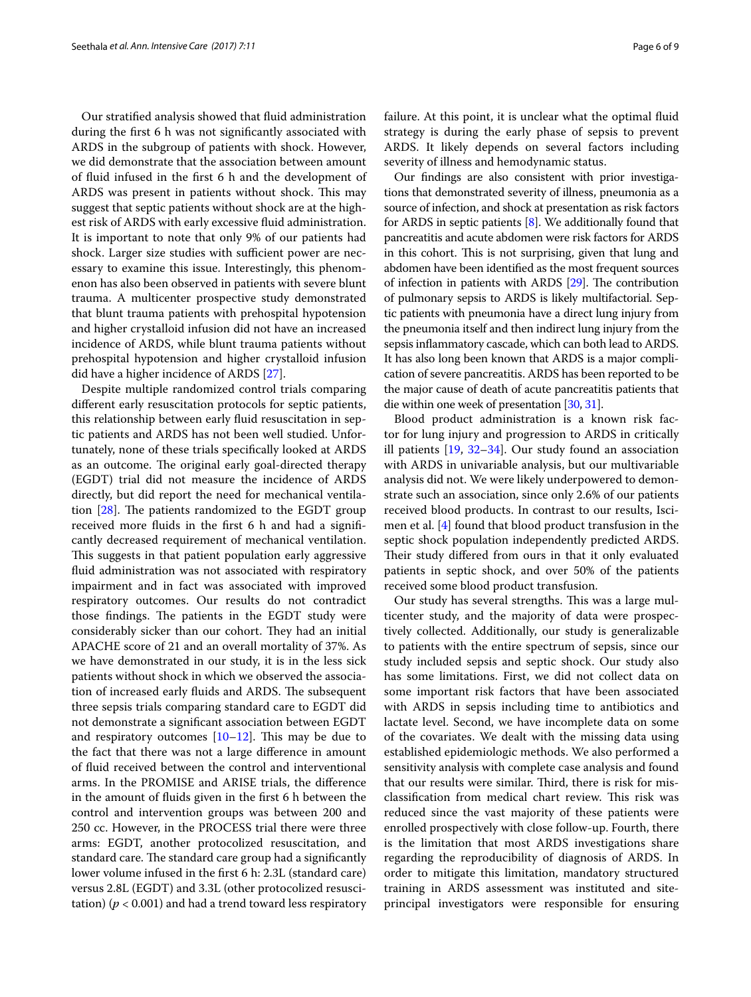Our stratified analysis showed that fluid administration during the first 6 h was not significantly associated with ARDS in the subgroup of patients with shock. However, we did demonstrate that the association between amount of fluid infused in the first 6 h and the development of ARDS was present in patients without shock. This may suggest that septic patients without shock are at the highest risk of ARDS with early excessive fluid administration. It is important to note that only 9% of our patients had shock. Larger size studies with sufficient power are necessary to examine this issue. Interestingly, this phenomenon has also been observed in patients with severe blunt trauma. A multicenter prospective study demonstrated that blunt trauma patients with prehospital hypotension and higher crystalloid infusion did not have an increased incidence of ARDS, while blunt trauma patients without prehospital hypotension and higher crystalloid infusion did have a higher incidence of ARDS [[27](#page-8-7)].

Despite multiple randomized control trials comparing different early resuscitation protocols for septic patients, this relationship between early fluid resuscitation in septic patients and ARDS has not been well studied. Unfortunately, none of these trials specifically looked at ARDS as an outcome. The original early goal-directed therapy (EGDT) trial did not measure the incidence of ARDS directly, but did report the need for mechanical ventilation [\[28\]](#page-8-8). The patients randomized to the EGDT group received more fluids in the first 6 h and had a significantly decreased requirement of mechanical ventilation. This suggests in that patient population early aggressive fluid administration was not associated with respiratory impairment and in fact was associated with improved respiratory outcomes. Our results do not contradict those findings. The patients in the EGDT study were considerably sicker than our cohort. They had an initial APACHE score of 21 and an overall mortality of 37%. As we have demonstrated in our study, it is in the less sick patients without shock in which we observed the association of increased early fluids and ARDS. The subsequent three sepsis trials comparing standard care to EGDT did not demonstrate a significant association between EGDT and respiratory outcomes  $[10-12]$  $[10-12]$  $[10-12]$ . This may be due to the fact that there was not a large difference in amount of fluid received between the control and interventional arms. In the PROMISE and ARISE trials, the difference in the amount of fluids given in the first 6 h between the control and intervention groups was between 200 and 250 cc. However, in the PROCESS trial there were three arms: EGDT, another protocolized resuscitation, and standard care. The standard care group had a significantly lower volume infused in the first 6 h: 2.3L (standard care) versus 2.8L (EGDT) and 3.3L (other protocolized resuscitation) ( $p < 0.001$ ) and had a trend toward less respiratory failure. At this point, it is unclear what the optimal fluid strategy is during the early phase of sepsis to prevent ARDS. It likely depends on several factors including severity of illness and hemodynamic status.

Our findings are also consistent with prior investigations that demonstrated severity of illness, pneumonia as a source of infection, and shock at presentation as risk factors for ARDS in septic patients [\[8](#page-7-7)]. We additionally found that pancreatitis and acute abdomen were risk factors for ARDS in this cohort. This is not surprising, given that lung and abdomen have been identified as the most frequent sources of infection in patients with ARDS [\[29\]](#page-8-9). The contribution of pulmonary sepsis to ARDS is likely multifactorial. Septic patients with pneumonia have a direct lung injury from the pneumonia itself and then indirect lung injury from the sepsis inflammatory cascade, which can both lead to ARDS. It has also long been known that ARDS is a major complication of severe pancreatitis. ARDS has been reported to be the major cause of death of acute pancreatitis patients that die within one week of presentation [\[30,](#page-8-10) [31\]](#page-8-11).

Blood product administration is a known risk factor for lung injury and progression to ARDS in critically ill patients [\[19](#page-8-0), [32–](#page-8-12)[34\]](#page-8-13). Our study found an association with ARDS in univariable analysis, but our multivariable analysis did not. We were likely underpowered to demonstrate such an association, since only 2.6% of our patients received blood products. In contrast to our results, Iscimen et al. [\[4](#page-7-3)] found that blood product transfusion in the septic shock population independently predicted ARDS. Their study differed from ours in that it only evaluated patients in septic shock, and over 50% of the patients received some blood product transfusion.

Our study has several strengths. This was a large multicenter study, and the majority of data were prospectively collected. Additionally, our study is generalizable to patients with the entire spectrum of sepsis, since our study included sepsis and septic shock. Our study also has some limitations. First, we did not collect data on some important risk factors that have been associated with ARDS in sepsis including time to antibiotics and lactate level. Second, we have incomplete data on some of the covariates. We dealt with the missing data using established epidemiologic methods. We also performed a sensitivity analysis with complete case analysis and found that our results were similar. Third, there is risk for misclassification from medical chart review. This risk was reduced since the vast majority of these patients were enrolled prospectively with close follow-up. Fourth, there is the limitation that most ARDS investigations share regarding the reproducibility of diagnosis of ARDS. In order to mitigate this limitation, mandatory structured training in ARDS assessment was instituted and siteprincipal investigators were responsible for ensuring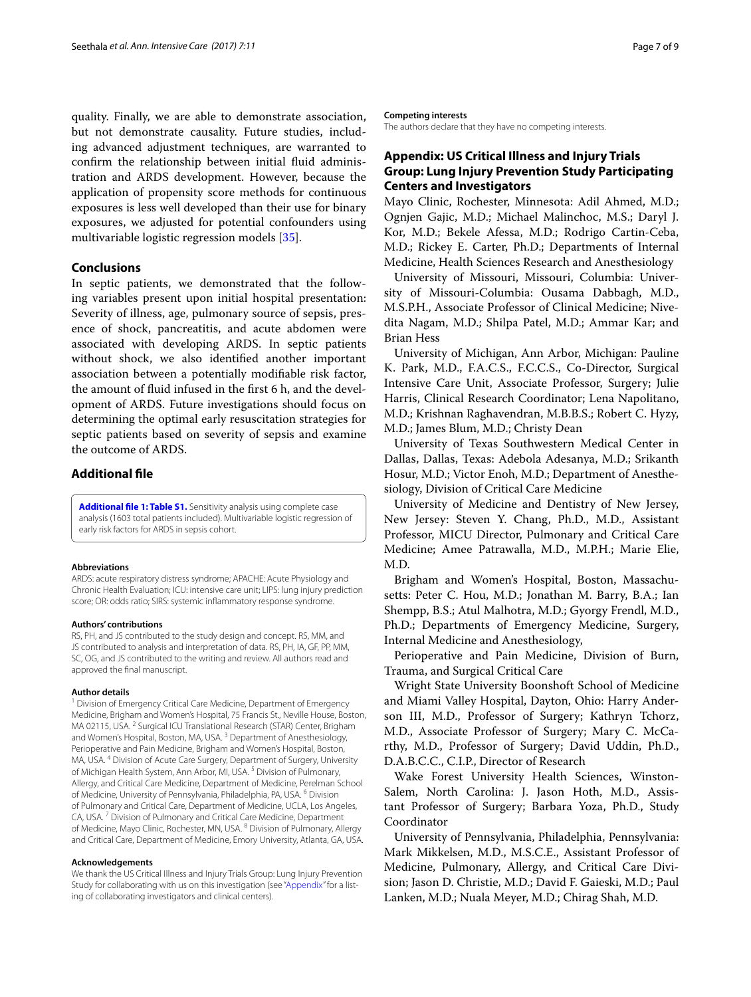quality. Finally, we are able to demonstrate association, but not demonstrate causality. Future studies, including advanced adjustment techniques, are warranted to confirm the relationship between initial fluid administration and ARDS development. However, because the application of propensity score methods for continuous exposures is less well developed than their use for binary exposures, we adjusted for potential confounders using multivariable logistic regression models [\[35](#page-8-14)].

#### **Conclusions**

In septic patients, we demonstrated that the following variables present upon initial hospital presentation: Severity of illness, age, pulmonary source of sepsis, presence of shock, pancreatitis, and acute abdomen were associated with developing ARDS. In septic patients without shock, we also identified another important association between a potentially modifiable risk factor, the amount of fluid infused in the first 6 h, and the development of ARDS. Future investigations should focus on determining the optimal early resuscitation strategies for septic patients based on severity of sepsis and examine the outcome of ARDS.

#### **Additional file**

<span id="page-6-0"></span>**[Additional file 1: Table S1.](http://dx.doi.org/10.1186/s13613-017-0233-1)** Sensitivity analysis using complete case analysis (1603 total patients included). Multivariable logistic regression of early risk factors for ARDS in sepsis cohort.

#### **Abbreviations**

ARDS: acute respiratory distress syndrome; APACHE: Acute Physiology and Chronic Health Evaluation; ICU: intensive care unit; LIPS: lung injury prediction score; OR: odds ratio; SIRS: systemic inflammatory response syndrome.

#### **Authors' contributions**

RS, PH, and JS contributed to the study design and concept. RS, MM, and JS contributed to analysis and interpretation of data. RS, PH, IA, GF, PP, MM, SC, OG, and JS contributed to the writing and review. All authors read and approved the final manuscript.

#### **Author details**

Division of Emergency Critical Care Medicine, Department of Emergency Medicine, Brigham and Women's Hospital, 75 Francis St., Neville House, Boston, MA 02115, USA. <sup>2</sup> Surgical ICU Translational Research (STAR) Center, Brigham and Women's Hospital, Boston, MA, USA.<sup>3</sup> Department of Anesthesiology, Perioperative and Pain Medicine, Brigham and Women's Hospital, Boston, MA, USA. 4 Division of Acute Care Surgery, Department of Surgery, University of Michigan Health System, Ann Arbor, MI, USA. <sup>5</sup> Division of Pulmonary, Allergy, and Critical Care Medicine, Department of Medicine, Perelman School of Medicine, University of Pennsylvania, Philadelphia, PA, USA. 6 Division of Pulmonary and Critical Care, Department of Medicine, UCLA, Los Angeles, CA, USA. 7 Division of Pulmonary and Critical Care Medicine, Department of Medicine, Mayo Clinic, Rochester, MN, USA. <sup>8</sup> Division of Pulmonary, Allergy and Critical Care, Department of Medicine, Emory University, Atlanta, GA, USA.

#### **Acknowledgements**

We thank the US Critical Illness and Injury Trials Group: Lung Injury Prevention Study for collaborating with us on this investigation (see ["Appendix](#page-6-1)" for a listing of collaborating investigators and clinical centers).

#### **Competing interests**

The authors declare that they have no competing interests.

# <span id="page-6-1"></span>**Appendix: US Critical Illness and Injury Trials Group: Lung Injury Prevention Study Participating Centers and Investigators**

Mayo Clinic, Rochester, Minnesota: Adil Ahmed, M.D.; Ognjen Gajic, M.D.; Michael Malinchoc, M.S.; Daryl J. Kor, M.D.; Bekele Afessa, M.D.; Rodrigo Cartin-Ceba, M.D.; Rickey E. Carter, Ph.D.; Departments of Internal Medicine, Health Sciences Research and Anesthesiology

University of Missouri, Missouri, Columbia: University of Missouri-Columbia: Ousama Dabbagh, M.D., M.S.P.H., Associate Professor of Clinical Medicine; Nivedita Nagam, M.D.; Shilpa Patel, M.D.; Ammar Kar; and Brian Hess

University of Michigan, Ann Arbor, Michigan: Pauline K. Park, M.D., F.A.C.S., F.C.C.S., Co-Director, Surgical Intensive Care Unit, Associate Professor, Surgery; Julie Harris, Clinical Research Coordinator; Lena Napolitano, M.D.; Krishnan Raghavendran, M.B.B.S.; Robert C. Hyzy, M.D.; James Blum, M.D.; Christy Dean

University of Texas Southwestern Medical Center in Dallas, Dallas, Texas: Adebola Adesanya, M.D.; Srikanth Hosur, M.D.; Victor Enoh, M.D.; Department of Anesthesiology, Division of Critical Care Medicine

University of Medicine and Dentistry of New Jersey, New Jersey: Steven Y. Chang, Ph.D., M.D., Assistant Professor, MICU Director, Pulmonary and Critical Care Medicine; Amee Patrawalla, M.D., M.P.H.; Marie Elie, M.D.

Brigham and Women's Hospital, Boston, Massachusetts: Peter C. Hou, M.D.; Jonathan M. Barry, B.A.; Ian Shempp, B.S.; Atul Malhotra, M.D.; Gyorgy Frendl, M.D., Ph.D.; Departments of Emergency Medicine, Surgery, Internal Medicine and Anesthesiology,

Perioperative and Pain Medicine, Division of Burn, Trauma, and Surgical Critical Care

Wright State University Boonshoft School of Medicine and Miami Valley Hospital, Dayton, Ohio: Harry Anderson III, M.D., Professor of Surgery; Kathryn Tchorz, M.D., Associate Professor of Surgery; Mary C. McCarthy, M.D., Professor of Surgery; David Uddin, Ph.D., D.A.B.C.C., C.I.P., Director of Research

Wake Forest University Health Sciences, Winston-Salem, North Carolina: J. Jason Hoth, M.D., Assistant Professor of Surgery; Barbara Yoza, Ph.D., Study Coordinator

University of Pennsylvania, Philadelphia, Pennsylvania: Mark Mikkelsen, M.D., M.S.C.E., Assistant Professor of Medicine, Pulmonary, Allergy, and Critical Care Division; Jason D. Christie, M.D.; David F. Gaieski, M.D.; Paul Lanken, M.D.; Nuala Meyer, M.D.; Chirag Shah, M.D.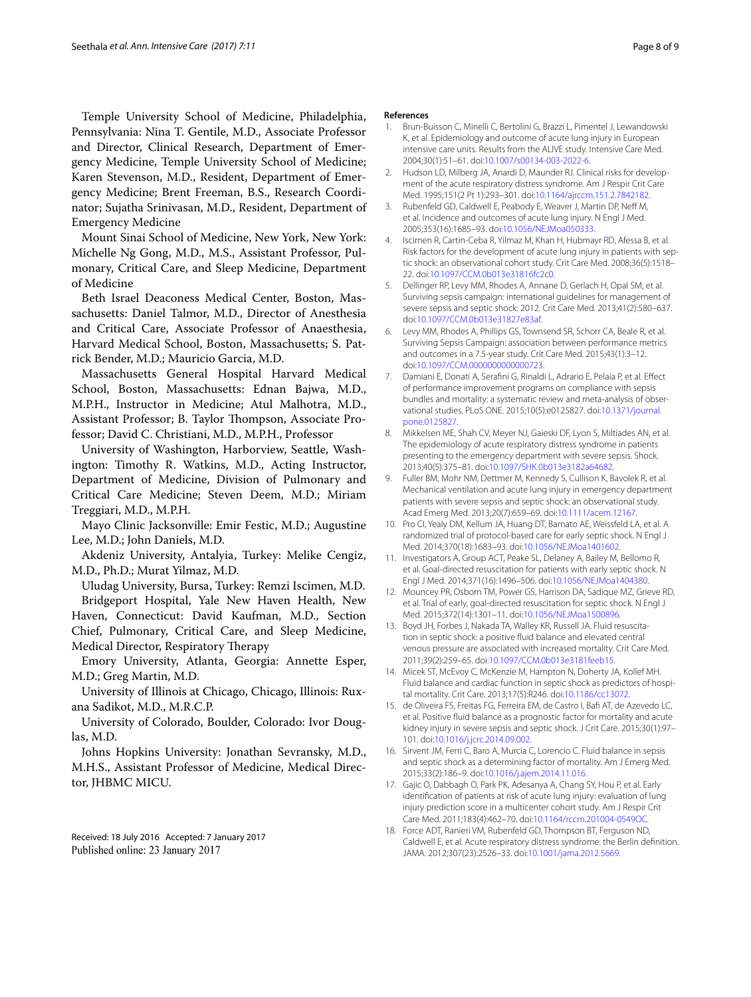Temple University School of Medicine, Philadelphia, Pennsylvania: Nina T. Gentile, M.D., Associate Professor and Director, Clinical Research, Department of Emergency Medicine, Temple University School of Medicine; Karen Stevenson, M.D., Resident, Department of Emergency Medicine; Brent Freeman, B.S., Research Coordinator; Sujatha Srinivasan, M.D., Resident, Department of Emergency Medicine

Mount Sinai School of Medicine, New York, New York: Michelle Ng Gong, M.D., M.S., Assistant Professor, Pulmonary, Critical Care, and Sleep Medicine, Department of Medicine

Beth Israel Deaconess Medical Center, Boston, Massachusetts: Daniel Talmor, M.D., Director of Anesthesia and Critical Care, Associate Professor of Anaesthesia, Harvard Medical School, Boston, Massachusetts; S. Patrick Bender, M.D.; Mauricio Garcia, M.D.

Massachusetts General Hospital Harvard Medical School, Boston, Massachusetts: Ednan Bajwa, M.D., M.P.H., Instructor in Medicine; Atul Malhotra, M.D., Assistant Professor; B. Taylor Thompson, Associate Professor; David C. Christiani, M.D., M.P.H., Professor

University of Washington, Harborview, Seattle, Washington: Timothy R. Watkins, M.D., Acting Instructor, Department of Medicine, Division of Pulmonary and Critical Care Medicine; Steven Deem, M.D.; Miriam Treggiari, M.D., M.P.H.

Mayo Clinic Jacksonville: Emir Festic, M.D.; Augustine Lee, M.D.; John Daniels, M.D.

Akdeniz University, Antalyia, Turkey: Melike Cengiz, M.D., Ph.D.; Murat Yilmaz, M.D.

Uludag University, Bursa, Turkey: Remzi Iscimen, M.D. Bridgeport Hospital, Yale New Haven Health, New Haven, Connecticut: David Kaufman, M.D., Section Chief, Pulmonary, Critical Care, and Sleep Medicine, Medical Director, Respiratory Therapy

Emory University, Atlanta, Georgia: Annette Esper, M.D.; Greg Martin, M.D.

University of Illinois at Chicago, Chicago, Illinois: Ruxana Sadikot, M.D., M.R.C.P.

University of Colorado, Boulder, Colorado: Ivor Douglas, M.D.

Johns Hopkins University: Jonathan Sevransky, M.D., M.H.S., Assistant Professor of Medicine, Medical Director, JHBMC MICU.

Received: 18 July 2016 Accepted: 7 January 2017 Published online: 23 January 2017

#### **References**

- <span id="page-7-0"></span>1. Brun-Buisson C, Minelli C, Bertolini G, Brazzi L, Pimentel J, Lewandowski K, et al. Epidemiology and outcome of acute lung injury in European intensive care units. Results from the ALIVE study. Intensive Care Med. 2004;30(1):51–61. doi[:10.1007/s00134-003-2022-6](http://dx.doi.org/10.1007/s00134-003-2022-6).
- <span id="page-7-1"></span>2. Hudson LD, Milberg JA, Anardi D, Maunder RJ. Clinical risks for development of the acute respiratory distress syndrome. Am J Respir Crit Care Med. 1995;151(2 Pt 1):293–301. doi:[10.1164/ajrccm.151.2.7842182.](http://dx.doi.org/10.1164/ajrccm.151.2.7842182)
- <span id="page-7-2"></span>3. Rubenfeld GD, Caldwell E, Peabody E, Weaver J, Martin DP, Neff M, et al. Incidence and outcomes of acute lung injury. N Engl J Med. 2005;353(16):1685–93. doi:[10.1056/NEJMoa050333.](http://dx.doi.org/10.1056/NEJMoa050333)
- <span id="page-7-3"></span>4. Iscimen R, Cartin-Ceba R, Yilmaz M, Khan H, Hubmayr RD, Afessa B, et al. Risk factors for the development of acute lung injury in patients with septic shock: an observational cohort study. Crit Care Med. 2008;36(5):1518– 22. doi:[10.1097/CCM.0b013e31816fc2c0.](http://dx.doi.org/10.1097/CCM.0b013e31816fc2c0)
- <span id="page-7-4"></span>5. Dellinger RP, Levy MM, Rhodes A, Annane D, Gerlach H, Opal SM, et al. Surviving sepsis campaign: international guidelines for management of severe sepsis and septic shock: 2012. Crit Care Med. 2013;41(2):580–637. doi:[10.1097/CCM.0b013e31827e83af.](http://dx.doi.org/10.1097/CCM.0b013e31827e83af)
- <span id="page-7-5"></span>6. Levy MM, Rhodes A, Phillips GS, Townsend SR, Schorr CA, Beale R, et al. Surviving Sepsis Campaign: association between performance metrics and outcomes in a 7.5-year study. Crit Care Med. 2015;43(1):3–12. doi:[10.1097/CCM.0000000000000723.](http://dx.doi.org/10.1097/CCM.0000000000000723)
- <span id="page-7-6"></span>7. Damiani E, Donati A, Serafini G, Rinaldi L, Adrario E, Pelaia P, et al. Effect of performance improvement programs on compliance with sepsis bundles and mortality: a systematic review and meta-analysis of observational studies. PLoS ONE. 2015;10(5):e0125827. doi:[10.1371/journal.](http://dx.doi.org/10.1371/journal.pone.0125827) [pone.0125827](http://dx.doi.org/10.1371/journal.pone.0125827).
- <span id="page-7-7"></span>8. Mikkelsen ME, Shah CV, Meyer NJ, Gaieski DF, Lyon S, Miltiades AN, et al. The epidemiology of acute respiratory distress syndrome in patients presenting to the emergency department with severe sepsis. Shock. 2013;40(5):375–81. doi:[10.1097/SHK.0b013e3182a64682.](http://dx.doi.org/10.1097/SHK.0b013e3182a64682)
- <span id="page-7-8"></span>9. Fuller BM, Mohr NM, Dettmer M, Kennedy S, Cullison K, Bavolek R, et al. Mechanical ventilation and acute lung injury in emergency department patients with severe sepsis and septic shock: an observational study. Acad Emerg Med. 2013;20(7):659–69. doi[:10.1111/acem.12167](http://dx.doi.org/10.1111/acem.12167).
- <span id="page-7-9"></span>10. Pro CI, Yealy DM, Kellum JA, Huang DT, Barnato AE, Weissfeld LA, et al. A randomized trial of protocol-based care for early septic shock. N Engl J Med. 2014;370(18):1683–93. doi[:10.1056/NEJMoa1401602](http://dx.doi.org/10.1056/NEJMoa1401602).
- 11. Investigators A, Group ACT, Peake SL, Delaney A, Bailey M, Bellomo R, et al. Goal-directed resuscitation for patients with early septic shock. N Engl J Med. 2014;371(16):1496–506. doi[:10.1056/NEJMoa1404380.](http://dx.doi.org/10.1056/NEJMoa1404380)
- <span id="page-7-10"></span>12. Mouncey PR, Osborn TM, Power GS, Harrison DA, Sadique MZ, Grieve RD, et al. Trial of early, goal-directed resuscitation for septic shock. N Engl J Med. 2015;372(14):1301–11. doi[:10.1056/NEJMoa1500896](http://dx.doi.org/10.1056/NEJMoa1500896).
- <span id="page-7-11"></span>13. Boyd JH, Forbes J, Nakada TA, Walley KR, Russell JA. Fluid resuscitation in septic shock: a positive fluid balance and elevated central venous pressure are associated with increased mortality. Crit Care Med. 2011;39(2):259–65. doi:[10.1097/CCM.0b013e3181feeb15.](http://dx.doi.org/10.1097/CCM.0b013e3181feeb15)
- 14. Micek ST, McEvoy C, McKenzie M, Hampton N, Doherty JA, Kollef MH. Fluid balance and cardiac function in septic shock as predictors of hospital mortality. Crit Care. 2013;17(5):R246. doi:[10.1186/cc13072.](http://dx.doi.org/10.1186/cc13072)
- 15. de Oliveira FS, Freitas FG, Ferreira EM, de Castro I, Bafi AT, de Azevedo LC, et al. Positive fluid balance as a prognostic factor for mortality and acute kidney injury in severe sepsis and septic shock. J Crit Care. 2015;30(1):97– 101. doi:[10.1016/j.jcrc.2014.09.002.](http://dx.doi.org/10.1016/j.jcrc.2014.09.002)
- <span id="page-7-12"></span>16. Sirvent JM, Ferri C, Baro A, Murcia C, Lorencio C. Fluid balance in sepsis and septic shock as a determining factor of mortality. Am J Emerg Med. 2015;33(2):186–9. doi[:10.1016/j.ajem.2014.11.016.](http://dx.doi.org/10.1016/j.ajem.2014.11.016)
- <span id="page-7-13"></span>17. Gajic O, Dabbagh O, Park PK, Adesanya A, Chang SY, Hou P, et al. Early identification of patients at risk of acute lung injury: evaluation of lung injury prediction score in a multicenter cohort study. Am J Respir Crit Care Med. 2011;183(4):462–70. doi[:10.1164/rccm.201004-0549OC](http://dx.doi.org/10.1164/rccm.201004-0549OC).
- <span id="page-7-14"></span>18. Force ADT, Ranieri VM, Rubenfeld GD, Thompson BT, Ferguson ND, Caldwell E, et al. Acute respiratory distress syndrome: the Berlin definition. JAMA. 2012;307(23):2526–33. doi:[10.1001/jama.2012.5669](http://dx.doi.org/10.1001/jama.2012.5669).